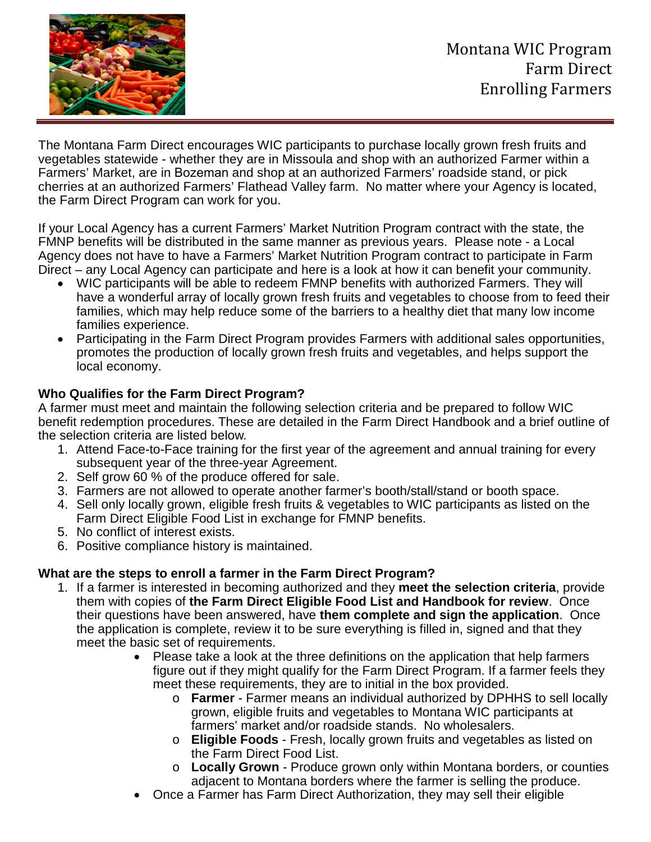

The Montana Farm Direct encourages WIC participants to purchase locally grown fresh fruits and vegetables statewide - whether they are in Missoula and shop with an authorized Farmer within a Farmers' Market, are in Bozeman and shop at an authorized Farmers' roadside stand, or pick cherries at an authorized Farmers' Flathead Valley farm. No matter where your Agency is located, the Farm Direct Program can work for you.

If your Local Agency has a current Farmers' Market Nutrition Program contract with the state, the FMNP benefits will be distributed in the same manner as previous years. Please note - a Local Agency does not have to have a Farmers' Market Nutrition Program contract to participate in Farm Direct – any Local Agency can participate and here is a look at how it can benefit your community.

- WIC participants will be able to redeem FMNP benefits with authorized Farmers. They will have a wonderful array of locally grown fresh fruits and vegetables to choose from to feed their families, which may help reduce some of the barriers to a healthy diet that many low income families experience.
- Participating in the Farm Direct Program provides Farmers with additional sales opportunities, promotes the production of locally grown fresh fruits and vegetables, and helps support the local economy.

## **Who Qualifies for the Farm Direct Program?**

A farmer must meet and maintain the following selection criteria and be prepared to follow WIC benefit redemption procedures. These are detailed in the Farm Direct Handbook and a brief outline of the selection criteria are listed below.

- 1. Attend Face-to-Face training for the first year of the agreement and annual training for every subsequent year of the three-year Agreement.
- 2. Self grow 60 % of the produce offered for sale.
- 3. Farmers are not allowed to operate another farmer's booth/stall/stand or booth space.
- 4. Sell only locally grown, eligible fresh fruits & vegetables to WIC participants as listed on the Farm Direct Eligible Food List in exchange for FMNP benefits.
- 5. No conflict of interest exists.
- 6. Positive compliance history is maintained.

## **What are the steps to enroll a farmer in the Farm Direct Program?**

- 1. If a farmer is interested in becoming authorized and they **meet the selection criteria**, provide them with copies of **the Farm Direct Eligible Food List and Handbook for review**. Once their questions have been answered, have **them complete and sign the application**. Once the application is complete, review it to be sure everything is filled in, signed and that they meet the basic set of requirements.
	- Please take a look at the three definitions on the application that help farmers figure out if they might qualify for the Farm Direct Program. If a farmer feels they meet these requirements, they are to initial in the box provided.
		- o **Farmer** Farmer means an individual authorized by DPHHS to sell locally grown, eligible fruits and vegetables to Montana WIC participants at farmers' market and/or roadside stands. No wholesalers.
		- o **Eligible Foods** Fresh, locally grown fruits and vegetables as listed on the Farm Direct Food List.
		- o **Locally Grown** Produce grown only within Montana borders, or counties adjacent to Montana borders where the farmer is selling the produce.
	- Once a Farmer has Farm Direct Authorization, they may sell their eligible